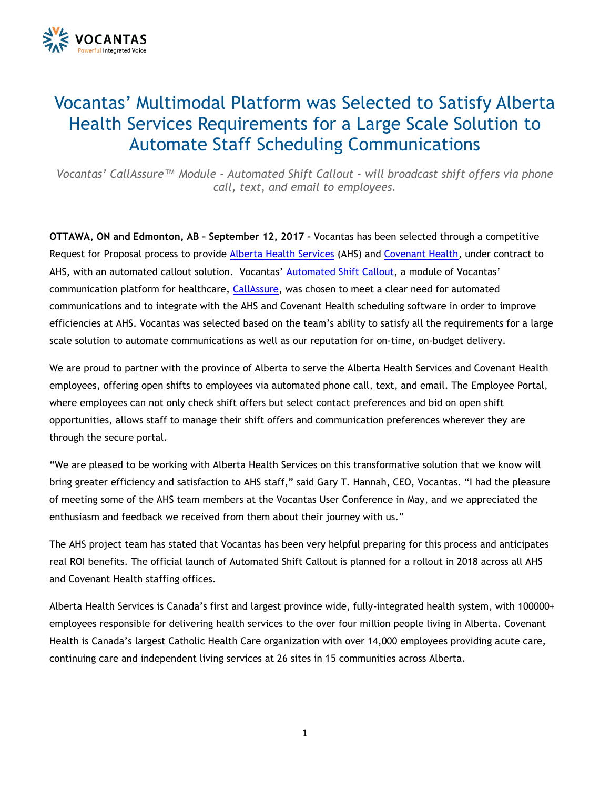

## Vocantas' Multimodal Platform was Selected to Satisfy Alberta Health Services Requirements for a Large Scale Solution to Automate Staff Scheduling Communications

*Vocantas' CallAssure™ Module - Automated Shift Callout – will broadcast shift offers via phone call, text, and email to employees.*

**OTTAWA, ON and Edmonton, AB – September 12, 2017 –** Vocantas has been selected through a competitive Request for Proposal process to provide [Alberta Health Services](http://www.albertahealthservices.ca/) (AHS) and [Covenant Health,](https://www.covenanthealth.ca/) under contract to AHS, with an automated callout solution. Vocantas' [Automated Shift Callout](http://vocantas.com/products/auto-shift-callout), a module of Vocantas' communication platform for healthcare, [CallAssure,](http://vocantas.com/callassure) was chosen to meet a clear need for automated communications and to integrate with the AHS and Covenant Health scheduling software in order to improve efficiencies at AHS. Vocantas was selected based on the team's ability to satisfy all the requirements for a large scale solution to automate communications as well as our reputation for on-time, on-budget delivery.

We are proud to partner with the province of Alberta to serve the Alberta Health Services and Covenant Health employees, offering open shifts to employees via automated phone call, text, and email. The Employee Portal, where employees can not only check shift offers but select contact preferences and bid on open shift opportunities, allows staff to manage their shift offers and communication preferences wherever they are through the secure portal.

"We are pleased to be working with Alberta Health Services on this transformative solution that we know will bring greater efficiency and satisfaction to AHS staff," said Gary T. Hannah, CEO, Vocantas. "I had the pleasure of meeting some of the AHS team members at the Vocantas User Conference in May, and we appreciated the enthusiasm and feedback we received from them about their journey with us."

The AHS project team has stated that Vocantas has been very helpful preparing for this process and anticipates real ROI benefits. The official launch of Automated Shift Callout is planned for a rollout in 2018 across all AHS and Covenant Health staffing offices.

Alberta Health Services is Canada's first and largest province wide, fully-integrated health system, with 100000+ employees responsible for delivering health services to the over four million people living in Alberta. Covenant Health is Canada's largest Catholic Health Care organization with over 14,000 employees providing acute care, continuing care and independent living services at 26 sites in 15 communities across Alberta.